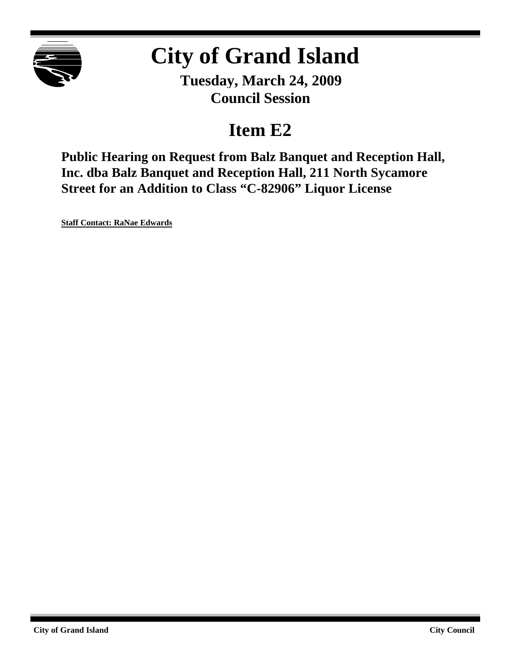

# **City of Grand Island**

**Tuesday, March 24, 2009 Council Session**

# **Item E2**

**Public Hearing on Request from Balz Banquet and Reception Hall, Inc. dba Balz Banquet and Reception Hall, 211 North Sycamore Street for an Addition to Class "C-82906" Liquor License**

**Staff Contact: RaNae Edwards**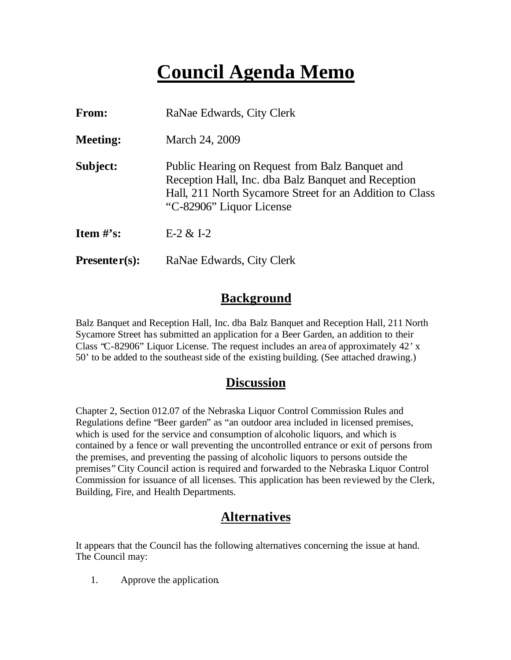# **Council Agenda Memo**

| From:           | RaNae Edwards, City Clerk                                                                                                                                                                      |
|-----------------|------------------------------------------------------------------------------------------------------------------------------------------------------------------------------------------------|
| <b>Meeting:</b> | March 24, 2009                                                                                                                                                                                 |
| Subject:        | Public Hearing on Request from Balz Banquet and<br>Reception Hall, Inc. dba Balz Banquet and Reception<br>Hall, 211 North Sycamore Street for an Addition to Class<br>"C-82906" Liquor License |
| Item $\#$ 's:   | $E-2 & 1-2$                                                                                                                                                                                    |
| $Presenter(s):$ | RaNae Edwards, City Clerk                                                                                                                                                                      |

#### **Background**

Balz Banquet and Reception Hall, Inc. dba Balz Banquet and Reception Hall, 211 North Sycamore Street has submitted an application for a Beer Garden, an addition to their Class "C-82906" Liquor License. The request includes an area of approximately 42' x 50' to be added to the southeast side of the existing building. (See attached drawing.)

#### **Discussion**

Chapter 2, Section 012.07 of the Nebraska Liquor Control Commission Rules and Regulations define "Beer garden" as "an outdoor area included in licensed premises, which is used for the service and consumption of alcoholic liquors, and which is contained by a fence or wall preventing the uncontrolled entrance or exit of persons from the premises, and preventing the passing of alcoholic liquors to persons outside the premises" City Council action is required and forwarded to the Nebraska Liquor Control Commission for issuance of all licenses. This application has been reviewed by the Clerk, Building, Fire, and Health Departments.

### **Alternatives**

It appears that the Council has the following alternatives concerning the issue at hand. The Council may:

1. Approve the application.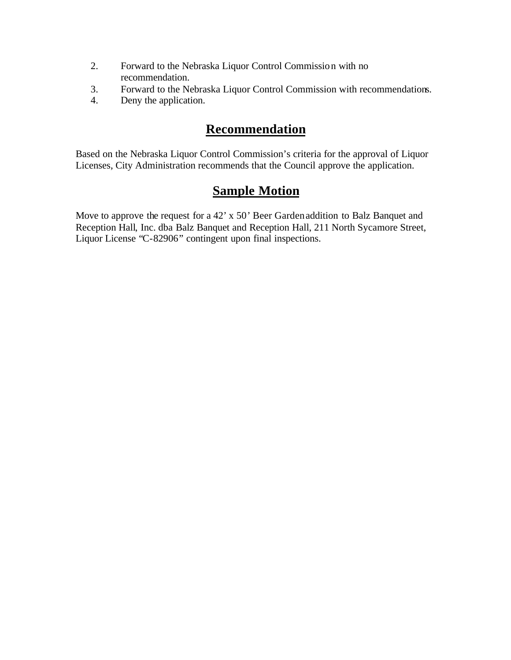- 2. Forward to the Nebraska Liquor Control Commission with no recommendation.
- 3. Forward to the Nebraska Liquor Control Commission with recommendations.
- 4. Deny the application.

### **Recommendation**

Based on the Nebraska Liquor Control Commission's criteria for the approval of Liquor Licenses, City Administration recommends that the Council approve the application.

## **Sample Motion**

Move to approve the request for a 42' x 50' Beer Garden addition to Balz Banquet and Reception Hall, Inc. dba Balz Banquet and Reception Hall, 211 North Sycamore Street, Liquor License "C-82906" contingent upon final inspections.